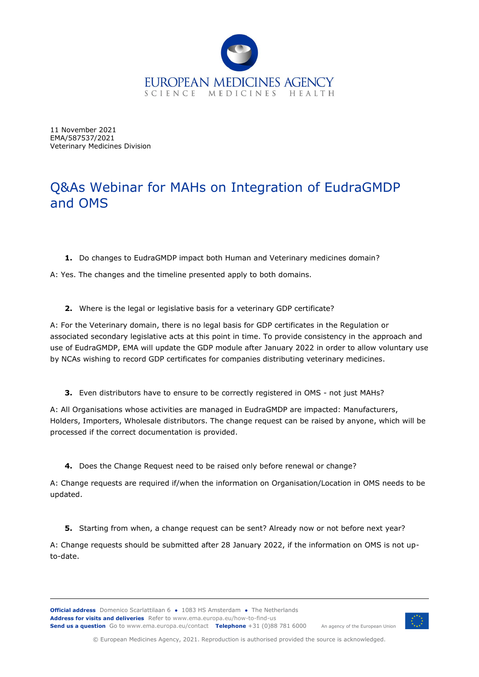

11 November 2021 EMA/587537/2021 Veterinary Medicines Division

# Q&As Webinar for MAHs on Integration of EudraGMDP and OMS

**1.** Do changes to EudraGMDP impact both Human and Veterinary medicines domain?

A: Yes. The changes and the timeline presented apply to both domains.

**2.** Where is the legal or legislative basis for a veterinary GDP certificate?

A: For the Veterinary domain, there is no legal basis for GDP certificates in the Regulation or associated secondary legislative acts at this point in time. To provide consistency in the approach and use of EudraGMDP, EMA will update the GDP module after January 2022 in order to allow voluntary use by NCAs wishing to record GDP certificates for companies distributing veterinary medicines.

**3.** Even distributors have to ensure to be correctly registered in OMS - not just MAHs?

A: All Organisations whose activities are managed in EudraGMDP are impacted: Manufacturers, Holders, Importers, Wholesale distributors. The change request can be raised by anyone, which will be processed if the correct documentation is provided.

**4.** Does the Change Request need to be raised only before renewal or change?

A: Change requests are required if/when the information on Organisation/Location in OMS needs to be updated.

**5.** Starting from when, a change request can be sent? Already now or not before next year?

A: Change requests should be submitted after 28 January 2022, if the information on OMS is not upto-date.

**Official address** Domenico Scarlattilaan 6 **●** 1083 HS Amsterdam **●** The Netherlands An agency of the European Union **Address for visits and deliveries** Refer to www.ema.europa.eu/how-to-find-us **Send us a question** Go to www.ema.europa.eu/contact **Telephone** +31 (0)88 781 6000



© European Medicines Agency, 2021. Reproduction is authorised provided the source is acknowledged.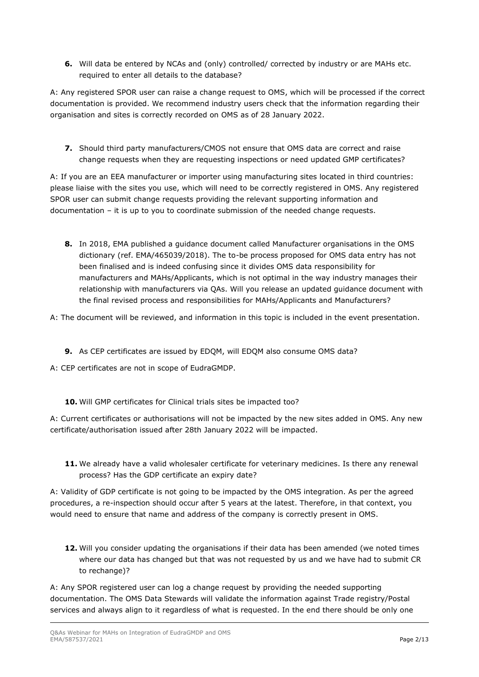**6.** Will data be entered by NCAs and (only) controlled/ corrected by industry or are MAHs etc. required to enter all details to the database?

A: Any registered SPOR user can raise a change request to OMS, which will be processed if the correct documentation is provided. We recommend industry users check that the information regarding their organisation and sites is correctly recorded on OMS as of 28 January 2022.

**7.** Should third party manufacturers/CMOS not ensure that OMS data are correct and raise change requests when they are requesting inspections or need updated GMP certificates?

A: If you are an EEA manufacturer or importer using manufacturing sites located in third countries: please liaise with the sites you use, which will need to be correctly registered in OMS. Any registered SPOR user can submit change requests providing the relevant supporting information and documentation – it is up to you to coordinate submission of the needed change requests.

**8.** In 2018, EMA published a guidance document called Manufacturer organisations in the OMS dictionary (ref. EMA/465039/2018). The to-be process proposed for OMS data entry has not been finalised and is indeed confusing since it divides OMS data responsibility for manufacturers and MAHs/Applicants, which is not optimal in the way industry manages their relationship with manufacturers via QAs. Will you release an updated guidance document with the final revised process and responsibilities for MAHs/Applicants and Manufacturers?

A: The document will be reviewed, and information in this topic is included in the event presentation.

- **9.** As CEP certificates are issued by EDQM, will EDQM also consume OMS data?
- A: CEP certificates are not in scope of EudraGMDP.
	- **10.** Will GMP certificates for Clinical trials sites be impacted too?

A: Current certificates or authorisations will not be impacted by the new sites added in OMS. Any new certificate/authorisation issued after 28th January 2022 will be impacted.

**11.** We already have a valid wholesaler certificate for veterinary medicines. Is there any renewal process? Has the GDP certificate an expiry date?

A: Validity of GDP certificate is not going to be impacted by the OMS integration. As per the agreed procedures, a re-inspection should occur after 5 years at the latest. Therefore, in that context, you would need to ensure that name and address of the company is correctly present in OMS.

**12.** Will you consider updating the organisations if their data has been amended (we noted times where our data has changed but that was not requested by us and we have had to submit CR to rechange)?

A: Any SPOR registered user can log a change request by providing the needed supporting documentation. The OMS Data Stewards will validate the information against Trade registry/Postal services and always align to it regardless of what is requested. In the end there should be only one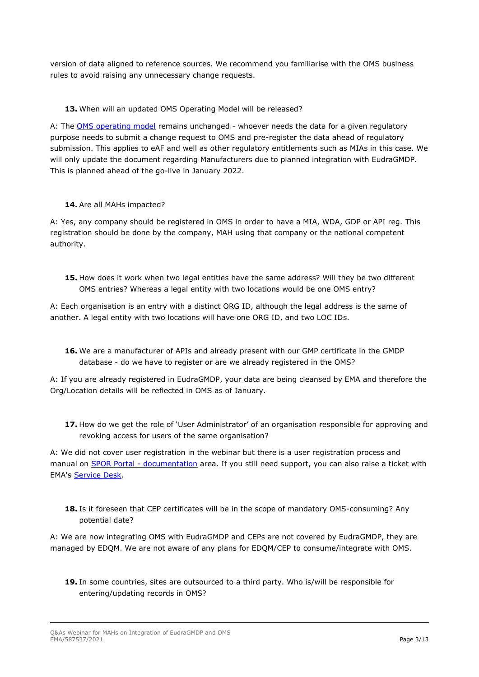version of data aligned to reference sources. We recommend you familiarise with the OMS business rules to avoid raising any unnecessary change requests.

### **13.** When will an updated OMS Operating Model will be released?

A: The [OMS operating model](https://spor.ema.europa.eu/omswi/#/viewDocuments) remains unchanged - whoever needs the data for a given regulatory purpose needs to submit a change request to OMS and pre-register the data ahead of regulatory submission. This applies to eAF and well as other regulatory entitlements such as MIAs in this case. We will only update the document regarding Manufacturers due to planned integration with EudraGMDP. This is planned ahead of the go-live in January 2022.

# **14.** Are all MAHs impacted?

A: Yes, any company should be registered in OMS in order to have a MIA, WDA, GDP or API reg. This registration should be done by the company, MAH using that company or the national competent authority.

**15.** How does it work when two legal entities have the same address? Will they be two different OMS entries? Whereas a legal entity with two locations would be one OMS entry?

A: Each organisation is an entry with a distinct ORG ID, although the legal address is the same of another. A legal entity with two locations will have one ORG ID, and two LOC IDs.

**16.** We are a manufacturer of APIs and already present with our GMP certificate in the GMDP database - do we have to register or are we already registered in the OMS?

A: If you are already registered in EudraGMDP, your data are being cleansed by EMA and therefore the Org/Location details will be reflected in OMS as of January.

**17.** How do we get the role of 'User Administrator' of an organisation responsible for approving and revoking access for users of the same organisation?

A: We did not cover user registration in the webinar but there is a user registration process and manual on **SPOR Portal - [documentation](https://spor.ema.europa.eu/omswi/#/viewDocuments)** area. If you still need support, you can also raise a ticket with EMA's [Service Desk.](https://servicedesk.ema.europa.eu/jira/servicedesk/customer/portals)

**18.** Is it foreseen that CEP certificates will be in the scope of mandatory OMS-consuming? Any potential date?

A: We are now integrating OMS with EudraGMDP and CEPs are not covered by EudraGMDP, they are managed by EDQM. We are not aware of any plans for EDQM/CEP to consume/integrate with OMS.

**19.** In some countries, sites are outsourced to a third party. Who is/will be responsible for entering/updating records in OMS?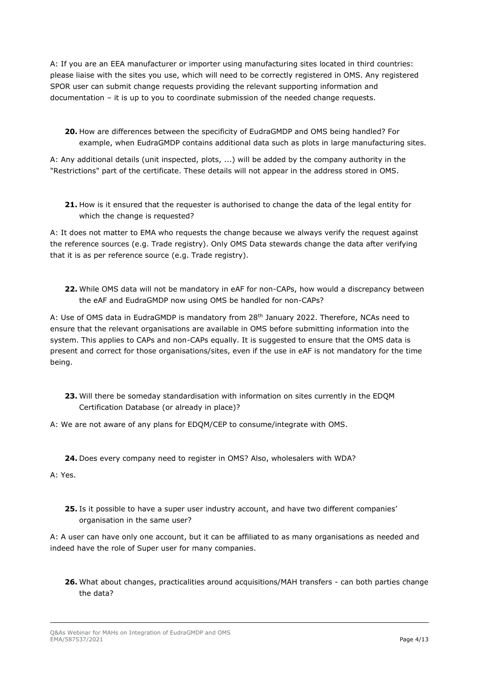A: If you are an EEA manufacturer or importer using manufacturing sites located in third countries: please liaise with the sites you use, which will need to be correctly registered in OMS. Any registered SPOR user can submit change requests providing the relevant supporting information and documentation – it is up to you to coordinate submission of the needed change requests.

**20.** How are differences between the specificity of EudraGMDP and OMS being handled? For example, when EudraGMDP contains additional data such as plots in large manufacturing sites.

A: Any additional details (unit inspected, plots, ...) will be added by the company authority in the "Restrictions" part of the certificate. These details will not appear in the address stored in OMS.

**21.** How is it ensured that the requester is authorised to change the data of the legal entity for which the change is requested?

A: It does not matter to EMA who requests the change because we always verify the request against the reference sources (e.g. Trade registry). Only OMS Data stewards change the data after verifying that it is as per reference source (e.g. Trade registry).

**22.** While OMS data will not be mandatory in eAF for non-CAPs, how would a discrepancy between the eAF and EudraGMDP now using OMS be handled for non-CAPs?

A: Use of OMS data in EudraGMDP is mandatory from 28th January 2022. Therefore, NCAs need to ensure that the relevant organisations are available in OMS before submitting information into the system. This applies to CAPs and non-CAPs equally. It is suggested to ensure that the OMS data is present and correct for those organisations/sites, even if the use in eAF is not mandatory for the time being.

- **23.** Will there be someday standardisation with information on sites currently in the EDQM Certification Database (or already in place)?
- A: We are not aware of any plans for EDQM/CEP to consume/integrate with OMS.

**24.** Does every company need to register in OMS? Also, wholesalers with WDA?

A: Yes.

**25.** Is it possible to have a super user industry account, and have two different companies' organisation in the same user?

A: A user can have only one account, but it can be affiliated to as many organisations as needed and indeed have the role of Super user for many companies.

**26.** What about changes, practicalities around acquisitions/MAH transfers - can both parties change the data?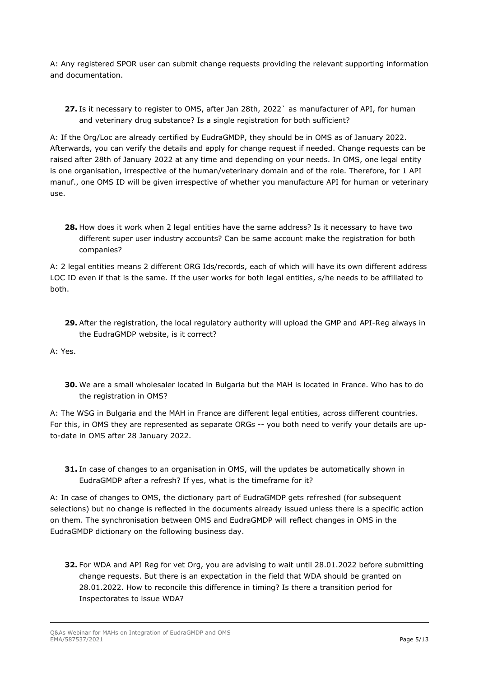A: Any registered SPOR user can submit change requests providing the relevant supporting information and documentation.

**27.** Is it necessary to register to OMS, after Jan 28th, 2022` as manufacturer of API, for human and veterinary drug substance? Is a single registration for both sufficient?

A: If the Org/Loc are already certified by EudraGMDP, they should be in OMS as of January 2022. Afterwards, you can verify the details and apply for change request if needed. Change requests can be raised after 28th of January 2022 at any time and depending on your needs. In OMS, one legal entity is one organisation, irrespective of the human/veterinary domain and of the role. Therefore, for 1 API manuf., one OMS ID will be given irrespective of whether you manufacture API for human or veterinary use.

**28.** How does it work when 2 legal entities have the same address? Is it necessary to have two different super user industry accounts? Can be same account make the registration for both companies?

A: 2 legal entities means 2 different ORG Ids/records, each of which will have its own different address LOC ID even if that is the same. If the user works for both legal entities, s/he needs to be affiliated to both.

**29.** After the registration, the local regulatory authority will upload the GMP and API-Reg always in the EudraGMDP website, is it correct?

A: Yes.

**30.** We are a small wholesaler located in Bulgaria but the MAH is located in France. Who has to do the registration in OMS?

A: The WSG in Bulgaria and the MAH in France are different legal entities, across different countries. For this, in OMS they are represented as separate ORGs -- you both need to verify your details are upto-date in OMS after 28 January 2022.

**31.** In case of changes to an organisation in OMS, will the updates be automatically shown in EudraGMDP after a refresh? If yes, what is the timeframe for it?

A: In case of changes to OMS, the dictionary part of EudraGMDP gets refreshed (for subsequent selections) but no change is reflected in the documents already issued unless there is a specific action on them. The synchronisation between OMS and EudraGMDP will reflect changes in OMS in the EudraGMDP dictionary on the following business day.

**32.** For WDA and API Reg for vet Org, you are advising to wait until 28.01.2022 before submitting change requests. But there is an expectation in the field that WDA should be granted on 28.01.2022. How to reconcile this difference in timing? Is there a transition period for Inspectorates to issue WDA?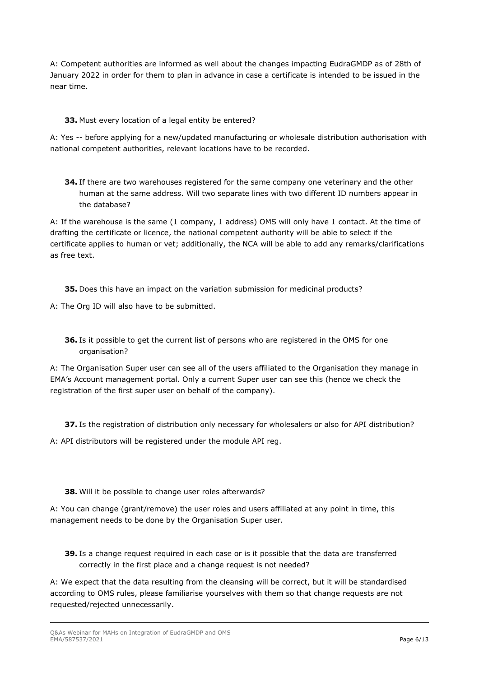A: Competent authorities are informed as well about the changes impacting EudraGMDP as of 28th of January 2022 in order for them to plan in advance in case a certificate is intended to be issued in the near time.

# **33.** Must every location of a legal entity be entered?

A: Yes -- before applying for a new/updated manufacturing or wholesale distribution authorisation with national competent authorities, relevant locations have to be recorded.

**34.** If there are two warehouses registered for the same company one veterinary and the other human at the same address. Will two separate lines with two different ID numbers appear in the database?

A: If the warehouse is the same (1 company, 1 address) OMS will only have 1 contact. At the time of drafting the certificate or licence, the national competent authority will be able to select if the certificate applies to human or vet; additionally, the NCA will be able to add any remarks/clarifications as free text.

**35.** Does this have an impact on the variation submission for medicinal products?

A: The Org ID will also have to be submitted.

**36.** Is it possible to get the current list of persons who are registered in the OMS for one organisation?

A: The Organisation Super user can see all of the users affiliated to the Organisation they manage in EMA's Account management portal. Only a current Super user can see this (hence we check the registration of the first super user on behalf of the company).

**37.** Is the registration of distribution only necessary for wholesalers or also for API distribution?

A: API distributors will be registered under the module API reg.

#### **38.** Will it be possible to change user roles afterwards?

A: You can change (grant/remove) the user roles and users affiliated at any point in time, this management needs to be done by the Organisation Super user.

**39.** Is a change request required in each case or is it possible that the data are transferred correctly in the first place and a change request is not needed?

A: We expect that the data resulting from the cleansing will be correct, but it will be standardised according to OMS rules, please familiarise yourselves with them so that change requests are not requested/rejected unnecessarily.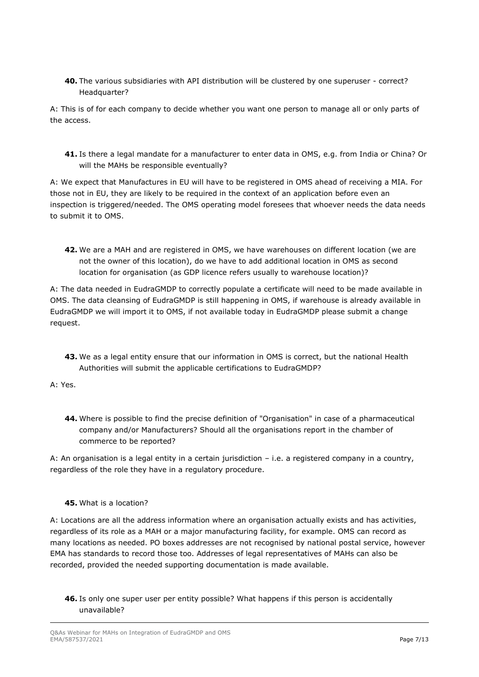**40.** The various subsidiaries with API distribution will be clustered by one superuser - correct? Headquarter?

A: This is of for each company to decide whether you want one person to manage all or only parts of the access.

**41.** Is there a legal mandate for a manufacturer to enter data in OMS, e.g. from India or China? Or will the MAHs be responsible eventually?

A: We expect that Manufactures in EU will have to be registered in OMS ahead of receiving a MIA. For those not in EU, they are likely to be required in the context of an application before even an inspection is triggered/needed. The OMS operating model foresees that whoever needs the data needs to submit it to OMS.

**42.** We are a MAH and are registered in OMS, we have warehouses on different location (we are not the owner of this location), do we have to add additional location in OMS as second location for organisation (as GDP licence refers usually to warehouse location)?

A: The data needed in EudraGMDP to correctly populate a certificate will need to be made available in OMS. The data cleansing of EudraGMDP is still happening in OMS, if warehouse is already available in EudraGMDP we will import it to OMS, if not available today in EudraGMDP please submit a change request.

**43.** We as a legal entity ensure that our information in OMS is correct, but the national Health Authorities will submit the applicable certifications to EudraGMDP?

# A: Yes.

**44.** Where is possible to find the precise definition of "Organisation" in case of a pharmaceutical company and/or Manufacturers? Should all the organisations report in the chamber of commerce to be reported?

A: An organisation is a legal entity in a certain jurisdiction – i.e. a registered company in a country, regardless of the role they have in a regulatory procedure.

#### **45.** What is a location?

A: Locations are all the address information where an organisation actually exists and has activities, regardless of its role as a MAH or a major manufacturing facility, for example. OMS can record as many locations as needed. PO boxes addresses are not recognised by national postal service, however EMA has standards to record those too. Addresses of legal representatives of MAHs can also be recorded, provided the needed supporting documentation is made available.

**46.** Is only one super user per entity possible? What happens if this person is accidentally unavailable?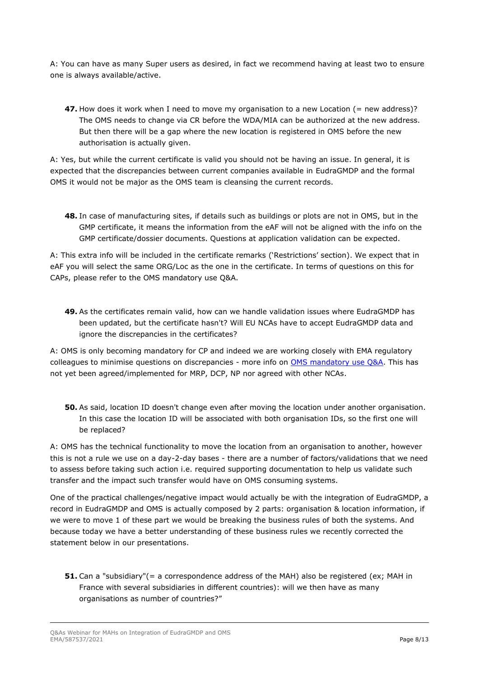A: You can have as many Super users as desired, in fact we recommend having at least two to ensure one is always available/active.

**47.** How does it work when I need to move my organisation to a new Location (= new address)? The OMS needs to change via CR before the WDA/MIA can be authorized at the new address. But then there will be a gap where the new location is registered in OMS before the new authorisation is actually given.

A: Yes, but while the current certificate is valid you should not be having an issue. In general, it is expected that the discrepancies between current companies available in EudraGMDP and the formal OMS it would not be major as the OMS team is cleansing the current records.

**48.** In case of manufacturing sites, if details such as buildings or plots are not in OMS, but in the GMP certificate, it means the information from the eAF will not be aligned with the info on the GMP certificate/dossier documents. Questions at application validation can be expected.

A: This extra info will be included in the certificate remarks ('Restrictions' section). We expect that in eAF you will select the same ORG/Loc as the one in the certificate. In terms of questions on this for CAPs, please refer to the [OMS mandatory](http://esubmission.ema.europa.eu/eaf/eAF_1.25.0.0/OMS%20Mandatory%20CAPs%20QandA.pdf) use Q&A.

**49.** As the certificates remain valid, how can we handle validation issues where EudraGMDP has been updated, but the certificate hasn't? Will EU NCAs have to accept EudraGMDP data and ignore the discrepancies in the certificates?

A: OMS is only becoming mandatory for CP and indeed we are working closely with EMA regulatory colleagues to minimise questions on discrepancies - more info on [OMS mandatory use Q&A.](http://esubmission.ema.europa.eu/eaf/eAF_1.25.0.0/OMS%20Mandatory%20CAPs%20QandA.pdf) This has not yet been agreed/implemented for MRP, DCP, NP nor agreed with other NCAs.

**50.** As said, location ID doesn't change even after moving the location under another organisation. In this case the location ID will be associated with both organisation IDs, so the first one will be replaced?

A: OMS has the technical functionality to move the location from an organisation to another, however this is not a rule we use on a day-2-day bases - there are a number of factors/validations that we need to assess before taking such action i.e. required supporting documentation to help us validate such transfer and the impact such transfer would have on OMS consuming systems.

One of the practical challenges/negative impact would actually be with the integration of EudraGMDP, a record in EudraGMDP and OMS is actually composed by 2 parts: organisation & location information, if we were to move 1 of these part we would be breaking the business rules of both the systems. And because today we have a better understanding of these business rules we recently corrected the statement below in our presentations.

**51.** Can a "subsidiary"(= a correspondence address of the MAH) also be registered (ex; MAH in France with several subsidiaries in different countries): will we then have as many organisations as number of countries?"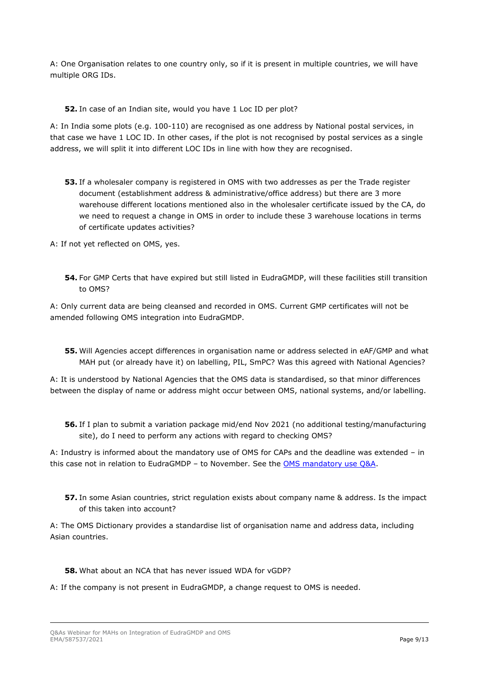A: One Organisation relates to one country only, so if it is present in multiple countries, we will have multiple ORG IDs.

**52.** In case of an Indian site, would you have 1 Loc ID per plot?

A: In India some plots (e.g. 100-110) are recognised as one address by National postal services, in that case we have 1 LOC ID. In other cases, if the plot is not recognised by postal services as a single address, we will split it into different LOC IDs in line with how they are recognised.

- **53.** If a wholesaler company is registered in OMS with two addresses as per the Trade register document (establishment address & administrative/office address) but there are 3 more warehouse different locations mentioned also in the wholesaler certificate issued by the CA, do we need to request a change in OMS in order to include these 3 warehouse locations in terms of certificate updates activities?
- A: If not yet reflected on OMS, yes.
	- **54.** For GMP Certs that have expired but still listed in EudraGMDP, will these facilities still transition to OMS?

A: Only current data are being cleansed and recorded in OMS. Current GMP certificates will not be amended following OMS integration into EudraGMDP.

**55.** Will Agencies accept differences in organisation name or address selected in eAF/GMP and what MAH put (or already have it) on labelling, PIL, SmPC? Was this agreed with National Agencies?

A: It is understood by National Agencies that the OMS data is standardised, so that minor differences between the display of name or address might occur between OMS, national systems, and/or labelling.

**56.** If I plan to submit a variation package mid/end Nov 2021 (no additional testing/manufacturing site), do I need to perform any actions with regard to checking OMS?

A: Industry is informed about the mandatory use of OMS for CAPs and the deadline was extended – in this case not in relation to EudraGMDP – to November. [See the OMS mandatory use Q&A.](http://esubmission.ema.europa.eu/eaf/eAF_1.25.0.0/OMS%20Mandatory%20CAPs%20QandA.pdf)

**57.** In some Asian countries, strict regulation exists about company name & address. Is the impact of this taken into account?

A: The OMS Dictionary provides a standardise list of organisation name and address data, including Asian countries.

- **58.** What about an NCA that has never issued WDA for vGDP?
- A: If the company is not present in EudraGMDP, a change request to OMS is needed.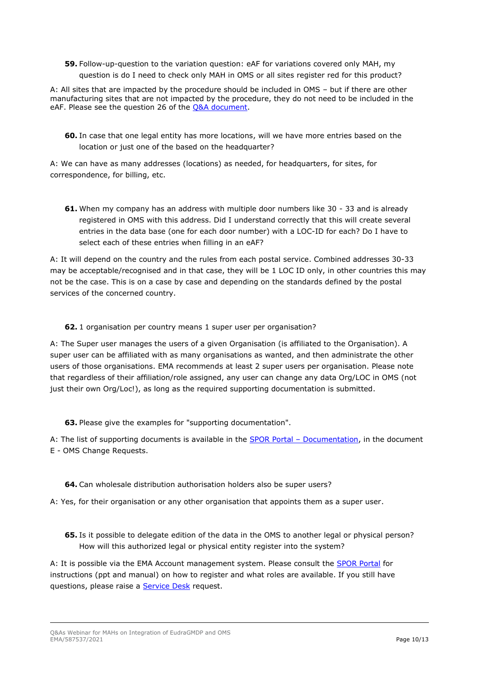**59.** Follow-up-question to the variation question: eAF for variations covered only MAH, my question is do I need to check only MAH in OMS or all sites register red for this product?

A: All sites that are impacted by the procedure should be included in OMS – but if there are other manufacturing sites that are not impacted by the procedure, they do not need to be included in the eAF. Please see the question 26 of the [Q&A document.](http://esubmission.ema.europa.eu/eaf/eAF_1.25.0.0/OMS%20Mandatory%20CAPs%20QandA.pdf)

**60.** In case that one legal entity has more locations, will we have more entries based on the location or just one of the based on the headquarter?

A: We can have as many addresses (locations) as needed, for headquarters, for sites, for correspondence, for billing, etc.

**61.** When my company has an address with multiple door numbers like 30 - 33 and is already registered in OMS with this address. Did I understand correctly that this will create several entries in the data base (one for each door number) with a LOC-ID for each? Do I have to select each of these entries when filling in an eAF?

A: It will depend on the country and the rules from each postal service. Combined addresses 30-33 may be acceptable/recognised and in that case, they will be 1 LOC ID only, in other countries this may not be the case. This is on a case by case and depending on the standards defined by the postal services of the concerned country.

#### **62.** 1 organisation per country means 1 super user per organisation?

A: The Super user manages the users of a given Organisation (is affiliated to the Organisation). A super user can be affiliated with as many organisations as wanted, and then administrate the other users of those organisations. EMA recommends at least 2 super users per organisation. Please note that regardless of their affiliation/role assigned, any user can change any data Org/LOC in OMS (not just their own Org/Loc!), as long as the required supporting documentation is submitted.

**63.** Please give the examples for "supporting documentation".

A: The list of supporting documents is available in the SPOR Portal – [Documentation,](https://spor.ema.europa.eu/omswi/#/viewDocuments) in the document E - OMS Change Requests.

# **64.** Can wholesale distribution authorisation holders also be super users?

A: Yes, for their organisation or any other organisation that appoints them as a super user.

**65.** Is it possible to delegate edition of the data in the OMS to another legal or physical person? How will this authorized legal or physical entity register into the system?

A: It is possible via the EMA Account management system. Please consult the [SPOR Portal](https://spor.ema.europa.eu/omswi/#/viewDocuments) for instructions (ppt and manual) on how to register and what roles are available. If you still have questions, please raise a [Service Desk](https://servicedesk.ema.europa.eu/jira/servicedesk/customer/portals) request.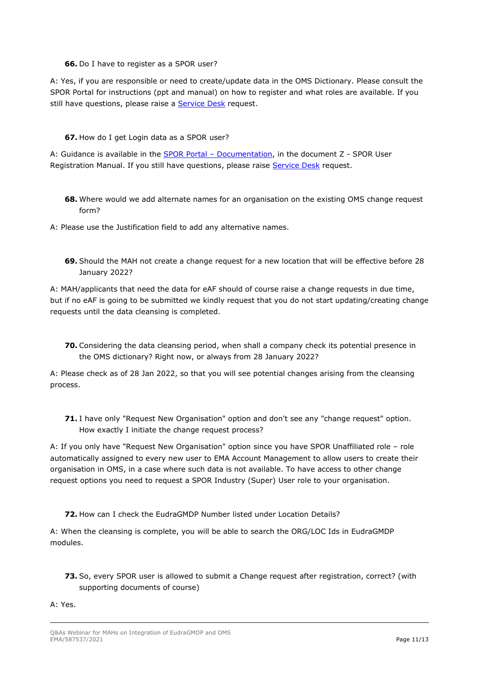#### **66.** Do I have to register as a SPOR user?

A: Yes, if you are responsible or need to create/update data in the OMS Dictionary. Please consult the SPOR Portal for instructions (ppt and manual) on how to register and what roles are available. If you still have questions, please raise a [Service Desk](https://servicedesk.ema.europa.eu/jira/servicedesk/customer/portals) request.

#### **67.** How do I get Login data as a SPOR user?

A: Guidance is available in the **SPOR Portal - Documentation**, in the document Z - SPOR User Registration Manual. If you still have questions, please raise [Service Desk](https://servicedesk.ema.europa.eu/jira/servicedesk/customer/portals) request.

**68.** Where would we add alternate names for an organisation on the existing OMS change request form?

A: Please use the Justification field to add any alternative names.

**69.** Should the MAH not create a change request for a new location that will be effective before 28 January 2022?

A: MAH/applicants that need the data for eAF should of course raise a change requests in due time, but if no eAF is going to be submitted we kindly request that you do not start updating/creating change requests until the data cleansing is completed.

**70.** Considering the data cleansing period, when shall a company check its potential presence in the OMS dictionary? Right now, or always from 28 January 2022?

A: Please check as of 28 Jan 2022, so that you will see potential changes arising from the cleansing process.

**71.** I have only "Request New Organisation" option and don't see any "change request" option. How exactly I initiate the change request process?

A: If you only have "Request New Organisation" option since you have SPOR Unaffiliated role – role automatically assigned to every new user to EMA Account Management to allow users to create their organisation in OMS, in a case where such data is not available. To have access to other change request options you need to request a SPOR Industry (Super) User role to your organisation.

**72.** How can I check the EudraGMDP Number listed under Location Details?

A: When the cleansing is complete, you will be able to search the ORG/LOC Ids in EudraGMDP modules.

**73.** So, every SPOR user is allowed to submit a Change request after registration, correct? (with supporting documents of course)

A: Yes.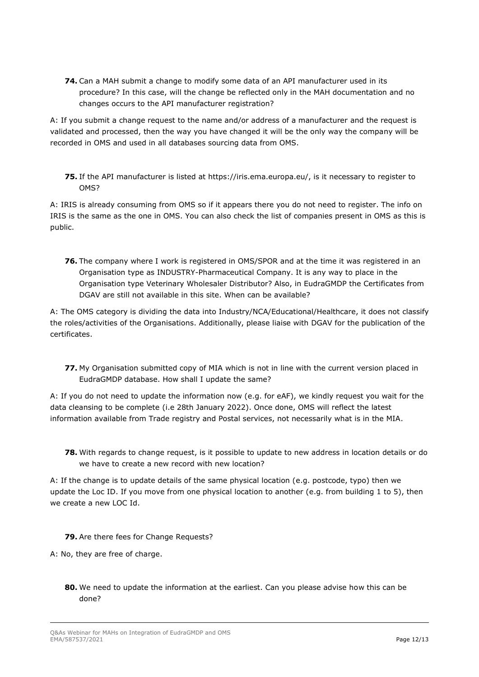**74.** Can a MAH submit a change to modify some data of an API manufacturer used in its procedure? In this case, will the change be reflected only in the MAH documentation and no changes occurs to the API manufacturer registration?

A: If you submit a change request to the name and/or address of a manufacturer and the request is validated and processed, then the way you have changed it will be the only way the company will be recorded in OMS and used in all databases sourcing data from OMS.

**75.** If the API manufacturer is listed at https://iris.ema.europa.eu/, is it necessary to register to OMS?

A: IRIS is already consuming from OMS so if it appears there you do not need to register. The info on IRIS is the same as the one in OMS. You can also check the list of companies present in OMS as this is public.

**76.** The company where I work is registered in OMS/SPOR and at the time it was registered in an Organisation type as INDUSTRY-Pharmaceutical Company. It is any way to place in the Organisation type Veterinary Wholesaler Distributor? Also, in EudraGMDP the Certificates from DGAV are still not available in this site. When can be available?

A: The OMS category is dividing the data into Industry/NCA/Educational/Healthcare, it does not classify the roles/activities of the Organisations. Additionally, please liaise with DGAV for the publication of the certificates.

**77.** My Organisation submitted copy of MIA which is not in line with the current version placed in EudraGMDP database. How shall I update the same?

A: If you do not need to update the information now (e.g. for eAF), we kindly request you wait for the data cleansing to be complete (i.e 28th January 2022). Once done, OMS will reflect the latest information available from Trade registry and Postal services, not necessarily what is in the MIA.

**78.** With regards to change request, is it possible to update to new address in location details or do we have to create a new record with new location?

A: If the change is to update details of the same physical location (e.g. postcode, typo) then we update the Loc ID. If you move from one physical location to another (e.g. from building 1 to 5), then we create a new LOC Id.

- **79.** Are there fees for Change Requests?
- A: No, they are free of charge.
	- **80.** We need to update the information at the earliest. Can you please advise how this can be done?